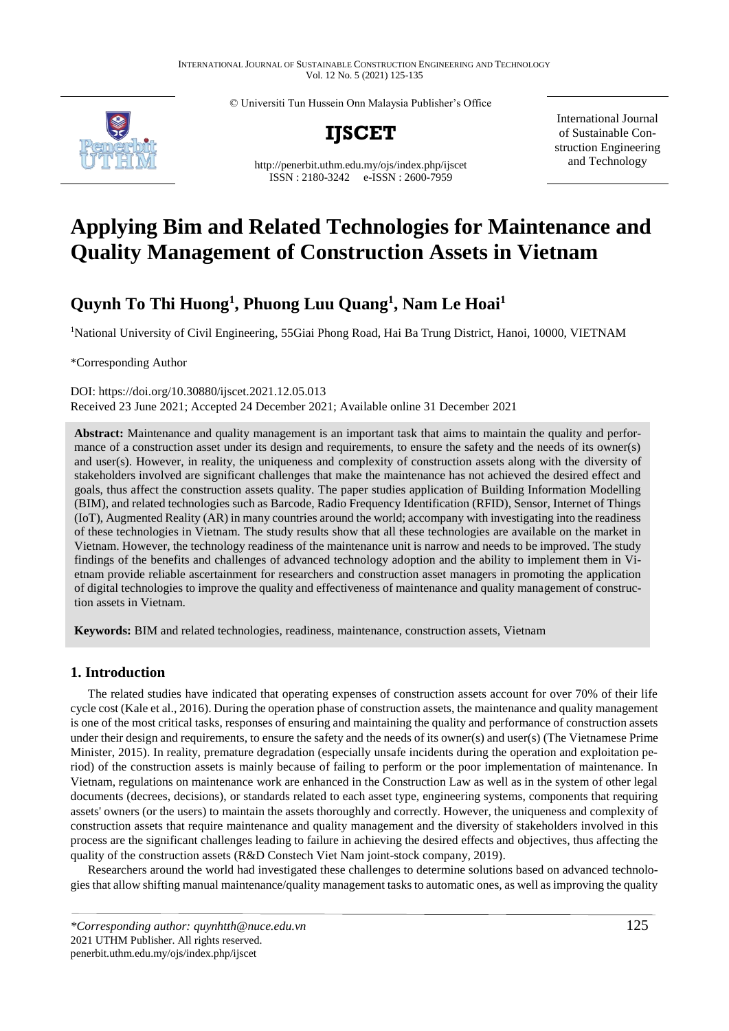© Universiti Tun Hussein Onn Malaysia Publisher's Office



**IJSCET**

<http://penerbit.uthm.edu.my/ojs/index.php/ijscet> ISSN : 2180-3242 e-ISSN : 2600-7959

International Journal of Sustainable Construction Engineering and Technology

# **Applying Bim and Related Technologies for Maintenance and Quality Management of Construction Assets in Vietnam**

# **Quynh To Thi Huong<sup>1</sup> , Phuong Luu Quang<sup>1</sup> , Nam Le Hoai<sup>1</sup>**

<sup>1</sup>National University of Civil Engineering, 55Giai Phong Road, Hai Ba Trung District, Hanoi, 10000, VIETNAM

\*Corresponding Author

DOI: https://doi.org/10.30880/ijscet.2021.12.05.013 Received 23 June 2021; Accepted 24 December 2021; Available online 31 December 2021

**Abstract:** Maintenance and quality management is an important task that aims to maintain the quality and performance of a construction asset under its design and requirements, to ensure the safety and the needs of its owner(s) and user(s). However, in reality, the uniqueness and complexity of construction assets along with the diversity of stakeholders involved are significant challenges that make the maintenance has not achieved the desired effect and goals, thus affect the construction assets quality. The paper studies application of Building Information Modelling (BIM), and related technologies such as Barcode, Radio Frequency Identification (RFID), Sensor, Internet of Things (IoT), Augmented Reality (AR) in many countries around the world; accompany with investigating into the readiness of these technologies in Vietnam. The study results show that all these technologies are available on the market in Vietnam. However, the technology readiness of the maintenance unit is narrow and needs to be improved. The study findings of the benefits and challenges of advanced technology adoption and the ability to implement them in Vietnam provide reliable ascertainment for researchers and construction asset managers in promoting the application of digital technologies to improve the quality and effectiveness of maintenance and quality management of construction assets in Vietnam.

**Keywords:** BIM and related technologies, readiness, maintenance, construction assets, Vietnam

#### **1. Introduction**

The related studies have indicated that operating expenses of construction assets account for over 70% of their life cycle cost (Kale et al., 2016). During the operation phase of construction assets, the maintenance and quality management is one of the most critical tasks, responses of ensuring and maintaining the quality and performance of construction assets under their design and requirements, to ensure the safety and the needs of its owner(s) and user(s) (The Vietnamese Prime Minister, 2015). In reality, premature degradation (especially unsafe incidents during the operation and exploitation period) of the construction assets is mainly because of failing to perform or the poor implementation of maintenance. In Vietnam, regulations on maintenance work are enhanced in the Construction Law as well as in the system of other legal documents (decrees, decisions), or standards related to each asset type, engineering systems, components that requiring assets' owners (or the users) to maintain the assets thoroughly and correctly. However, the uniqueness and complexity of construction assets that require maintenance and quality management and the diversity of stakeholders involved in this process are the significant challenges leading to failure in achieving the desired effects and objectives, thus affecting the quality of the construction assets (R&D Constech Viet Nam joint-stock company, 2019).

Researchers around the world had investigated these challenges to determine solutions based on advanced technologies that allow shifting manual maintenance/quality management tasks to automatic ones, as well as improving the quality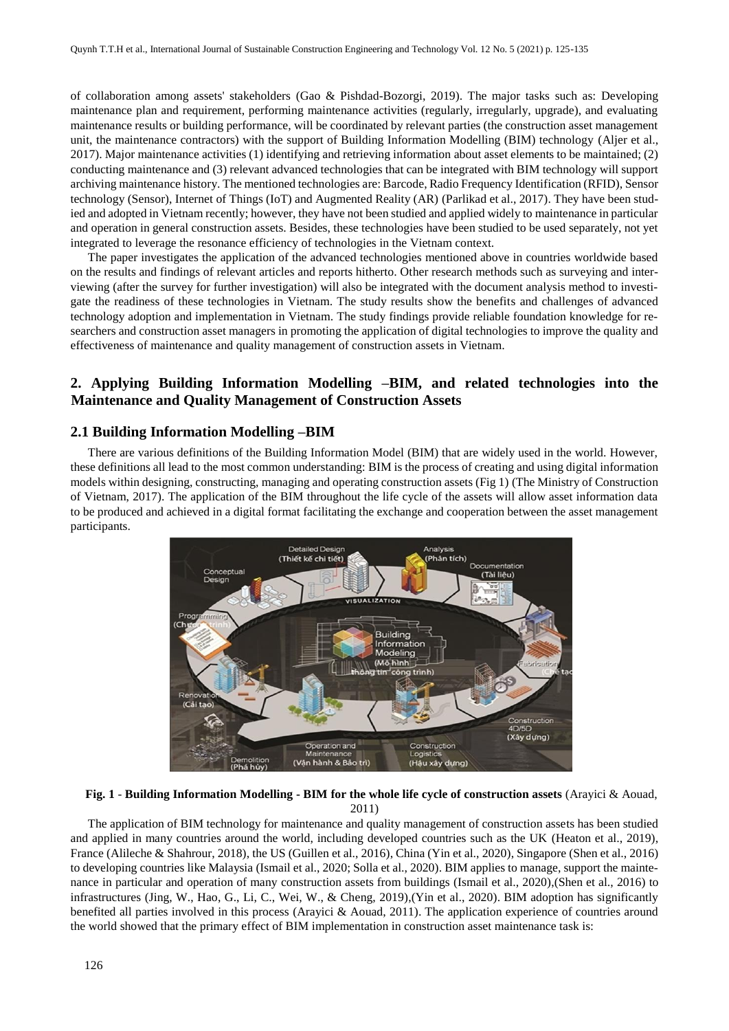of collaboration among assets' stakeholders (Gao & Pishdad-Bozorgi, 2019). The major tasks such as: Developing maintenance plan and requirement, performing maintenance activities (regularly, irregularly, upgrade), and evaluating maintenance results or building performance, will be coordinated by relevant parties (the construction asset management unit, the maintenance contractors) with the support of Building Information Modelling (BIM) technology (Aljer et al., 2017). Major maintenance activities (1) identifying and retrieving information about asset elements to be maintained; (2) conducting maintenance and (3) relevant advanced technologies that can be integrated with BIM technology will support archiving maintenance history. The mentioned technologies are: Barcode, Radio Frequency Identification (RFID), Sensor technology (Sensor), Internet of Things (IoT) and Augmented Reality (AR) (Parlikad et al., 2017). They have been studied and adopted in Vietnam recently; however, they have not been studied and applied widely to maintenance in particular and operation in general construction assets. Besides, these technologies have been studied to be used separately, not yet integrated to leverage the resonance efficiency of technologies in the Vietnam context.

The paper investigates the application of the advanced technologies mentioned above in countries worldwide based on the results and findings of relevant articles and reports hitherto. Other research methods such as surveying and interviewing (after the survey for further investigation) will also be integrated with the document analysis method to investigate the readiness of these technologies in Vietnam. The study results show the benefits and challenges of advanced technology adoption and implementation in Vietnam. The study findings provide reliable foundation knowledge for researchers and construction asset managers in promoting the application of digital technologies to improve the quality and effectiveness of maintenance and quality management of construction assets in Vietnam.

#### **2. Applying Building Information Modelling –BIM, and related technologies into the Maintenance and Quality Management of Construction Assets**

#### **2.1 Building Information Modelling –BIM**

There are various definitions of the Building Information Model (BIM) that are widely used in the world. However, these definitions all lead to the most common understanding: BIM is the process of creating and using digital information models within designing, constructing, managing and operating construction assets (Fig 1) (The Ministry of Construction of Vietnam, 2017). The application of the BIM throughout the life cycle of the assets will allow asset information data to be produced and achieved in a digital format facilitating the exchange and cooperation between the asset management participants.



**Fig. 1** - **Building Information Modelling - BIM for the whole life cycle of construction assets** (Arayici & Aouad, 2011)

The application of BIM technology for maintenance and quality management of construction assets has been studied and applied in many countries around the world, including developed countries such as the UK (Heaton et al., 2019), France (Alileche & Shahrour, 2018), the US (Guillen et al., 2016), China (Yin et al., 2020), Singapore (Shen et al., 2016) to developing countries like Malaysia (Ismail et al., 2020; Solla et al., 2020). BIM applies to manage, support the maintenance in particular and operation of many construction assets from buildings (Ismail et al., 2020),(Shen et al., 2016) to infrastructures (Jing, W., Hao, G., Li, C., Wei, W., & Cheng, 2019),(Yin et al., 2020). BIM adoption has significantly benefited all parties involved in this process (Arayici & Aouad, 2011). The application experience of countries around the world showed that the primary effect of BIM implementation in construction asset maintenance task is: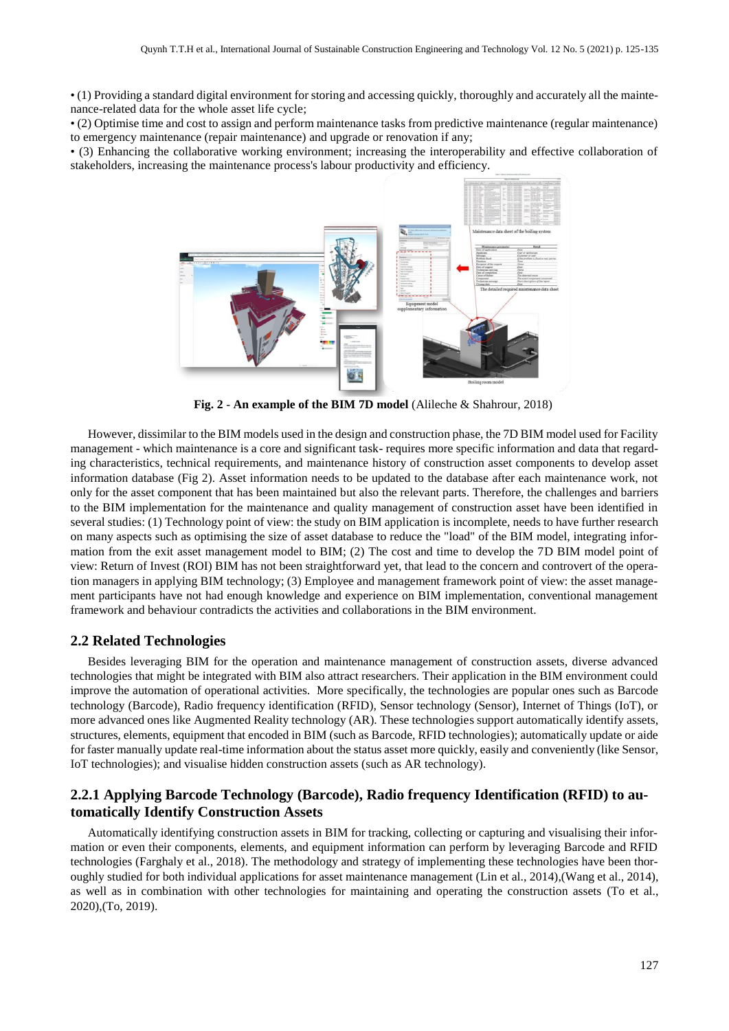• (1) Providing a standard digital environment for storing and accessing quickly, thoroughly and accurately all the maintenance-related data for the whole asset life cycle;

• (2) Optimise time and cost to assign and perform maintenance tasks from predictive maintenance (regular maintenance) to emergency maintenance (repair maintenance) and upgrade or renovation if any;

• (3) Enhancing the collaborative working environment; increasing the interoperability and effective collaboration of stakeholders, increasing the maintenance process's labour productivity and efficiency.



**Fig. 2** - **An example of the BIM 7D model** (Alileche & Shahrour, 2018)

However, dissimilar to the BIM models used in the design and construction phase, the 7D BIM model used for Facility management - which maintenance is a core and significant task- requires more specific information and data that regarding characteristics, technical requirements, and maintenance history of construction asset components to develop asset information database (Fig 2). Asset information needs to be updated to the database after each maintenance work, not only for the asset component that has been maintained but also the relevant parts. Therefore, the challenges and barriers to the BIM implementation for the maintenance and quality management of construction asset have been identified in several studies: (1) Technology point of view: the study on BIM application is incomplete, needs to have further research on many aspects such as optimising the size of asset database to reduce the "load" of the BIM model, integrating information from the exit asset management model to BIM; (2) The cost and time to develop the 7D BIM model point of view: Return of Invest (ROI) BIM has not been straightforward yet, that lead to the concern and controvert of the operation managers in applying BIM technology; (3) Employee and management framework point of view: the asset management participants have not had enough knowledge and experience on BIM implementation, conventional management framework and behaviour contradicts the activities and collaborations in the BIM environment.

#### **2.2 Related Technologies**

Besides leveraging BIM for the operation and maintenance management of construction assets, diverse advanced technologies that might be integrated with BIM also attract researchers. Their application in the BIM environment could improve the automation of operational activities. More specifically, the technologies are popular ones such as Barcode technology (Barcode), Radio frequency identification (RFID), Sensor technology (Sensor), Internet of Things (IoT), or more advanced ones like Augmented Reality technology (AR). These technologies support automatically identify assets, structures, elements, equipment that encoded in BIM (such as Barcode, RFID technologies); automatically update or aide for faster manually update real-time information about the status asset more quickly, easily and conveniently (like Sensor, IoT technologies); and visualise hidden construction assets (such as AR technology).

#### **2.2.1 Applying Barcode Technology (Barcode), Radio frequency Identification (RFID) to automatically Identify Construction Assets**

Automatically identifying construction assets in BIM for tracking, collecting or capturing and visualising their information or even their components, elements, and equipment information can perform by leveraging Barcode and RFID technologies (Farghaly et al., 2018). The methodology and strategy of implementing these technologies have been thoroughly studied for both individual applications for asset maintenance management (Lin et al., 2014),(Wang et al., 2014), as well as in combination with other technologies for maintaining and operating the construction assets (To et al., 2020),(To, 2019).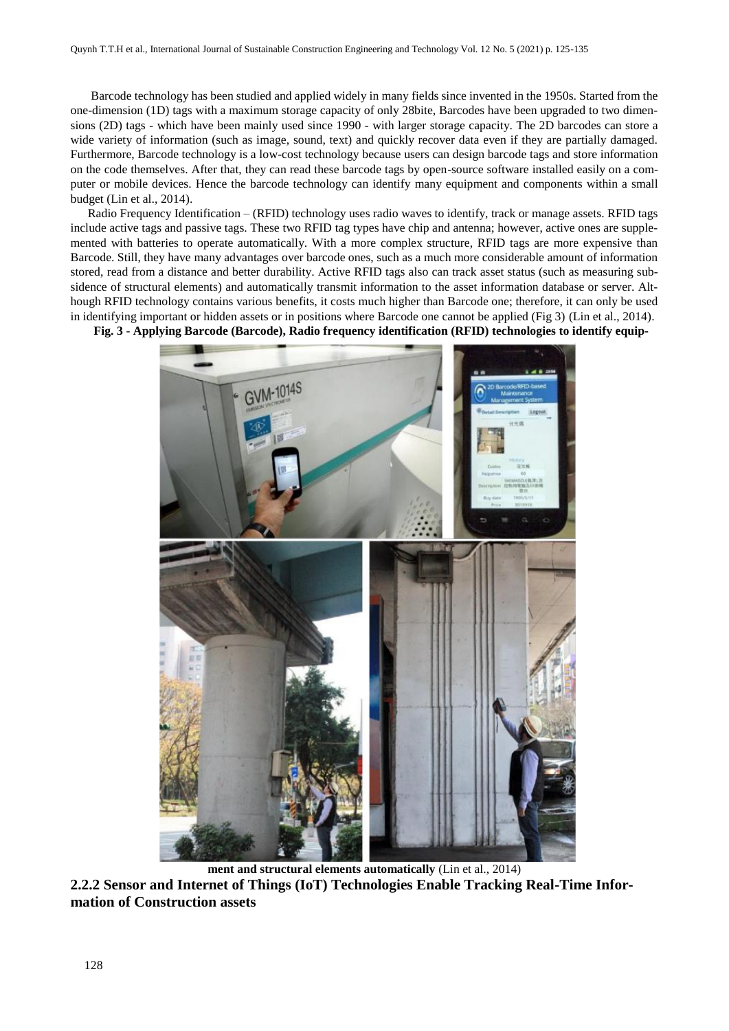Barcode technology has been studied and applied widely in many fields since invented in the 1950s. Started from the one-dimension (1D) tags with a maximum storage capacity of only 28bite, Barcodes have been upgraded to two dimensions (2D) tags - which have been mainly used since 1990 - with larger storage capacity. The 2D barcodes can store a wide variety of information (such as image, sound, text) and quickly recover data even if they are partially damaged. Furthermore, Barcode technology is a low-cost technology because users can design barcode tags and store information on the code themselves. After that, they can read these barcode tags by open-source software installed easily on a computer or mobile devices. Hence the barcode technology can identify many equipment and components within a small budget (Lin et al., 2014).

Radio Frequency Identification – (RFID) technology uses radio waves to identify, track or manage assets. RFID tags include active tags and passive tags. These two RFID tag types have chip and antenna; however, active ones are supplemented with batteries to operate automatically. With a more complex structure, RFID tags are more expensive than Barcode. Still, they have many advantages over barcode ones, such as a much more considerable amount of information stored, read from a distance and better durability. Active RFID tags also can track asset status (such as measuring subsidence of structural elements) and automatically transmit information to the asset information database or server. Although RFID technology contains various benefits, it costs much higher than Barcode one; therefore, it can only be used in identifying important or hidden assets or in positions where Barcode one cannot be applied (Fig 3) (Lin et al., 2014).

**Fig. 3** - **Applying Barcode (Barcode), Radio frequency identification (RFID) technologies to identify equip-**



**ment and structural elements automatically** (Lin et al., 2014) **2.2.2 Sensor and Internet of Things (IoT) Technologies Enable Tracking Real-Time Information of Construction assets**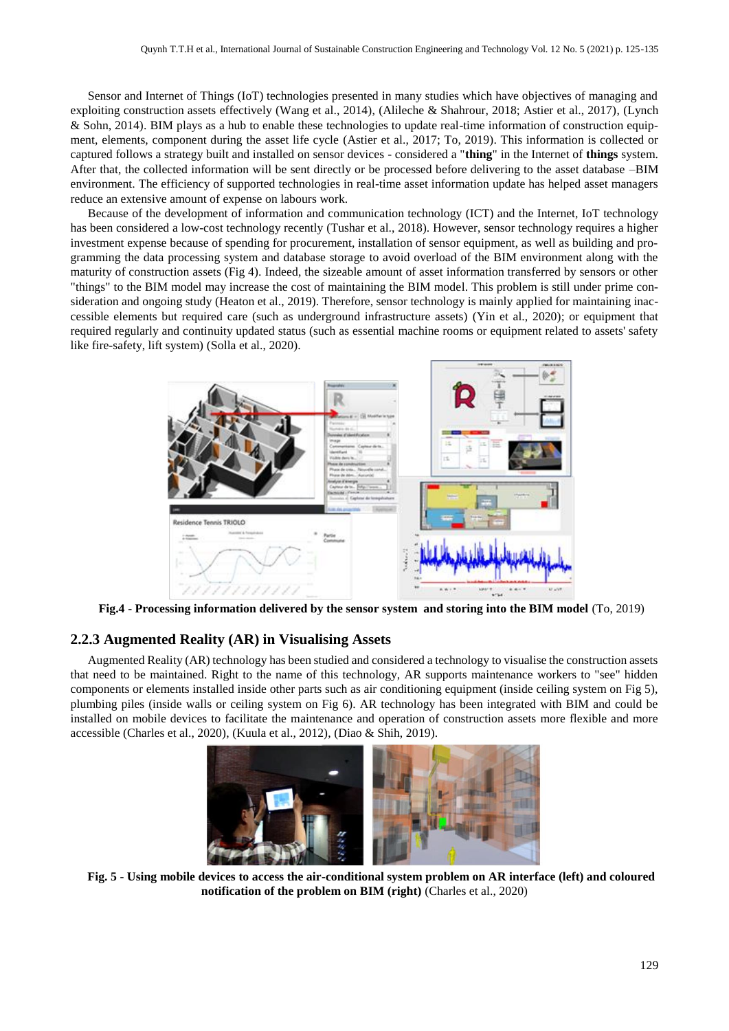Sensor and Internet of Things (IoT) technologies presented in many studies which have objectives of managing and exploiting construction assets effectively (Wang et al., 2014), (Alileche & Shahrour, 2018; Astier et al., 2017), (Lynch & Sohn, 2014). BIM plays as a hub to enable these technologies to update real-time information of construction equipment, elements, component during the asset life cycle (Astier et al., 2017; To, 2019). This information is collected or captured follows a strategy built and installed on sensor devices - considered a "**thing**" in the Internet of **things** system. After that, the collected information will be sent directly or be processed before delivering to the asset database –BIM environment. The efficiency of supported technologies in real-time asset information update has helped asset managers reduce an extensive amount of expense on labours work.

Because of the development of information and communication technology (ICT) and the Internet, IoT technology has been considered a low-cost technology recently (Tushar et al., 2018). However, sensor technology requires a higher investment expense because of spending for procurement, installation of sensor equipment, as well as building and programming the data processing system and database storage to avoid overload of the BIM environment along with the maturity of construction assets (Fig 4). Indeed, the sizeable amount of asset information transferred by sensors or other "things" to the BIM model may increase the cost of maintaining the BIM model. This problem is still under prime consideration and ongoing study (Heaton et al., 2019). Therefore, sensor technology is mainly applied for maintaining inaccessible elements but required care (such as underground infrastructure assets) (Yin et al., 2020); or equipment that required regularly and continuity updated status (such as essential machine rooms or equipment related to assets' safety like fire-safety, lift system) (Solla et al., 2020).



**Fig.4** - **Processing information delivered by the sensor system and storing into the BIM model** (To, 2019)

#### **2.2.3 Augmented Reality (AR) in Visualising Assets**

Augmented Reality (AR) technology has been studied and considered a technology to visualise the construction assets that need to be maintained. Right to the name of this technology, AR supports maintenance workers to "see" hidden components or elements installed inside other parts such as air conditioning equipment (inside ceiling system on Fig 5), plumbing piles (inside walls or ceiling system on Fig 6). AR technology has been integrated with BIM and could be installed on mobile devices to facilitate the maintenance and operation of construction assets more flexible and more accessible (Charles et al., 2020), (Kuula et al., 2012), (Diao & Shih, 2019).



**Fig. 5** - **Using mobile devices to access the air-conditional system problem on AR interface (left) and coloured notification of the problem on BIM (right)** (Charles et al., 2020)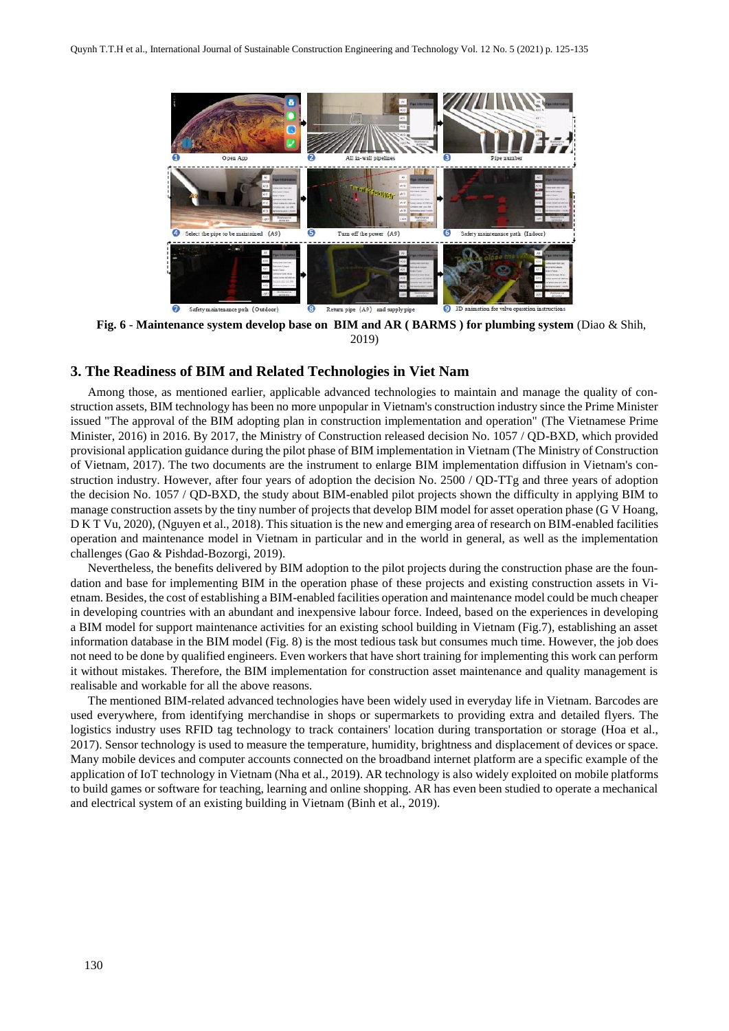

**Fig. 6** - **Maintenance system develop base on BIM and AR ( BARMS ) for plumbing system** (Diao & Shih, 2019)

#### **3. The Readiness of BIM and Related Technologies in Viet Nam**

Among those, as mentioned earlier, applicable advanced technologies to maintain and manage the quality of construction assets, BIM technology has been no more unpopular in Vietnam's construction industry since the Prime Minister issued "The approval of the BIM adopting plan in construction implementation and operation" (The Vietnamese Prime Minister, 2016) in 2016. By 2017, the Ministry of Construction released decision No. 1057 / QD-BXD, which provided provisional application guidance during the pilot phase of BIM implementation in Vietnam (The Ministry of Construction of Vietnam, 2017). The two documents are the instrument to enlarge BIM implementation diffusion in Vietnam's construction industry. However, after four years of adoption the decision No. 2500 / QD-TTg and three years of adoption the decision No. 1057 / QD-BXD, the study about BIM-enabled pilot projects shown the difficulty in applying BIM to manage construction assets by the tiny number of projects that develop BIM model for asset operation phase (G V Hoang, D K T Vu, 2020), (Nguyen et al., 2018). This situation is the new and emerging area of research on BIM-enabled facilities operation and maintenance model in Vietnam in particular and in the world in general, as well as the implementation challenges (Gao & Pishdad-Bozorgi, 2019).

Nevertheless, the benefits delivered by BIM adoption to the pilot projects during the construction phase are the foundation and base for implementing BIM in the operation phase of these projects and existing construction assets in Vietnam. Besides, the cost of establishing a BIM-enabled facilities operation and maintenance model could be much cheaper in developing countries with an abundant and inexpensive labour force. Indeed, based on the experiences in developing a BIM model for support maintenance activities for an existing school building in Vietnam (Fig.7), establishing an asset information database in the BIM model (Fig. 8) is the most tedious task but consumes much time. However, the job does not need to be done by qualified engineers. Even workers that have short training for implementing this work can perform it without mistakes. Therefore, the BIM implementation for construction asset maintenance and quality management is realisable and workable for all the above reasons.

The mentioned BIM-related advanced technologies have been widely used in everyday life in Vietnam. Barcodes are used everywhere, from identifying merchandise in shops or supermarkets to providing extra and detailed flyers. The logistics industry uses RFID tag technology to track containers' location during transportation or storage (Hoa et al., 2017). Sensor technology is used to measure the temperature, humidity, brightness and displacement of devices or space. Many mobile devices and computer accounts connected on the broadband internet platform are a specific example of the application of IoT technology in Vietnam (Nha et al., 2019). AR technology is also widely exploited on mobile platforms to build games or software for teaching, learning and online shopping. AR has even been studied to operate a mechanical and electrical system of an existing building in Vietnam (Binh et al., 2019).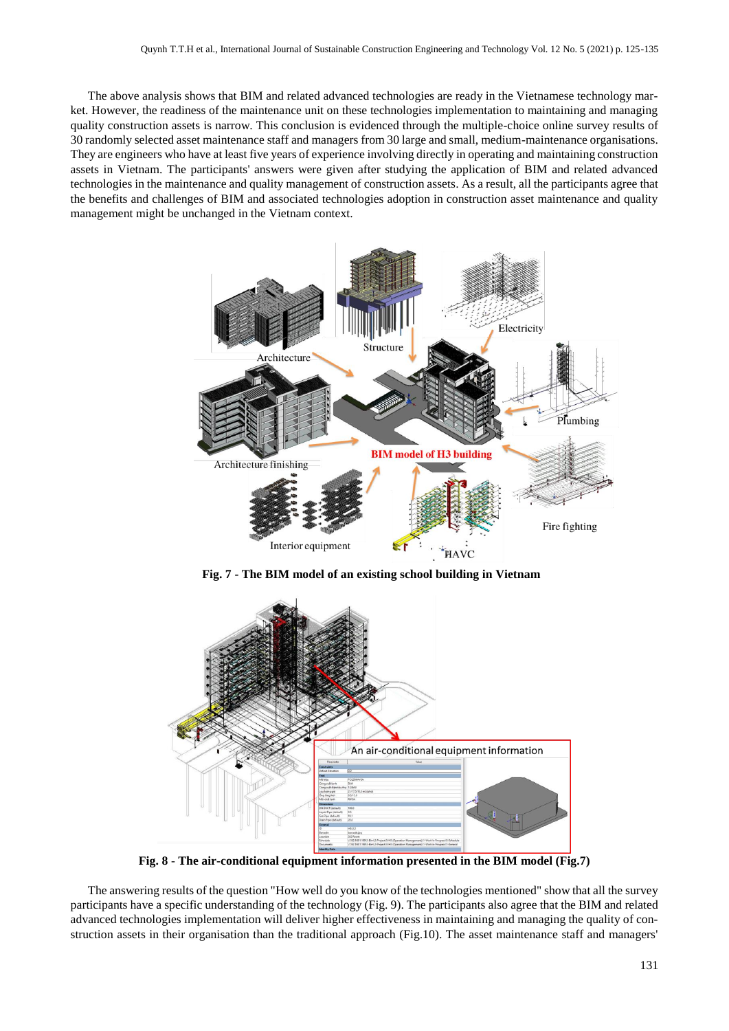The above analysis shows that BIM and related advanced technologies are ready in the Vietnamese technology market. However, the readiness of the maintenance unit on these technologies implementation to maintaining and managing quality construction assets is narrow. This conclusion is evidenced through the multiple-choice online survey results of 30 randomly selected asset maintenance staff and managers from 30 large and small, medium-maintenance organisations. They are engineers who have at least five years of experience involving directly in operating and maintaining construction assets in Vietnam. The participants' answers were given after studying the application of BIM and related advanced technologies in the maintenance and quality management of construction assets. As a result, all the participants agree that the benefits and challenges of BIM and associated technologies adoption in construction asset maintenance and quality management might be unchanged in the Vietnam context.



**Fig. 7 - The BIM model of an existing school building in Vietnam**



**Fig. 8** - **The air-conditional equipment information presented in the BIM model (Fig.7)**

The answering results of the question "How well do you know of the technologies mentioned" show that all the survey participants have a specific understanding of the technology (Fig. 9). The participants also agree that the BIM and related advanced technologies implementation will deliver higher effectiveness in maintaining and managing the quality of construction assets in their organisation than the traditional approach (Fig.10). The asset maintenance staff and managers'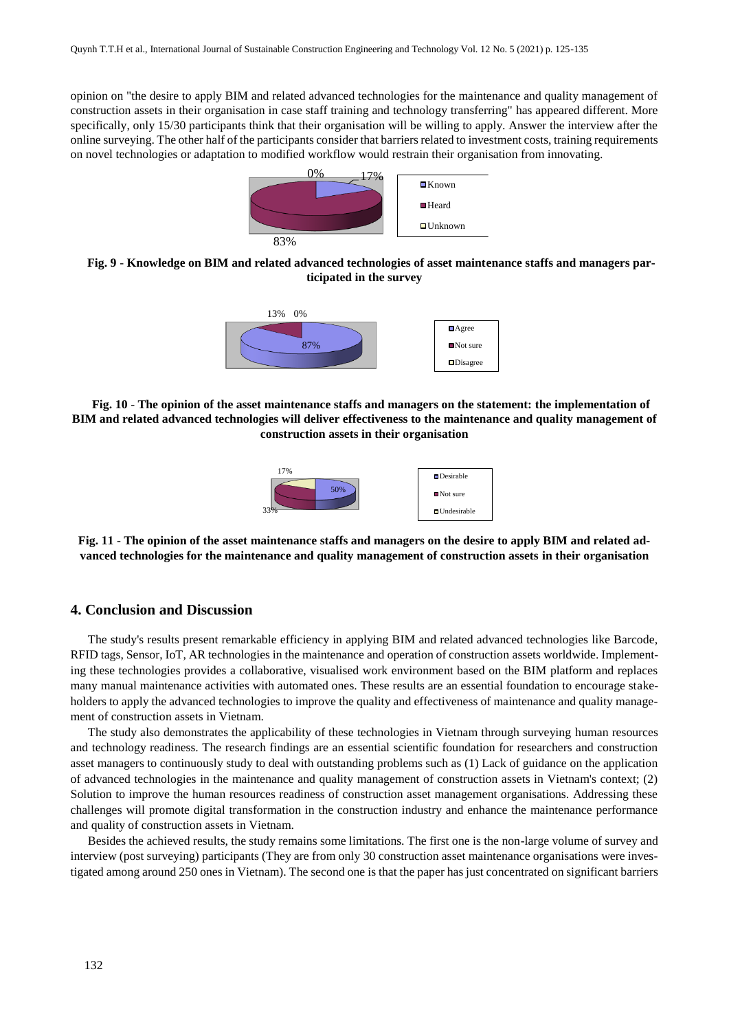opinion on "the desire to apply BIM and related advanced technologies for the maintenance and quality management of construction assets in their organisation in case staff training and technology transferring" has appeared different. More specifically, only 15/30 participants think that their organisation will be willing to apply. Answer the interview after the online surveying. The other half of the participants consider that barriers related to investment costs, training requirements on novel technologies or adaptation to modified workflow would restrain their organisation from innovating.



**Fig. 9** - **Knowledge on BIM and related advanced technologies of asset maintenance staffs and managers participated in the survey**



**Fig. 10** - **The opinion of the asset maintenance staffs and managers on the statement: the implementation of BIM and related advanced technologies will deliver effectiveness to the maintenance and quality management of construction assets in their organisation**



**Fig. 11** - **The opinion of the asset maintenance staffs and managers on the desire to apply BIM and related advanced technologies for the maintenance and quality management of construction assets in their organisation**

#### **4. Conclusion and Discussion**

The study's results present remarkable efficiency in applying BIM and related advanced technologies like Barcode, RFID tags, Sensor, IoT, AR technologies in the maintenance and operation of construction assets worldwide. Implementing these technologies provides a collaborative, visualised work environment based on the BIM platform and replaces many manual maintenance activities with automated ones. These results are an essential foundation to encourage stakeholders to apply the advanced technologies to improve the quality and effectiveness of maintenance and quality management of construction assets in Vietnam.

The study also demonstrates the applicability of these technologies in Vietnam through surveying human resources and technology readiness. The research findings are an essential scientific foundation for researchers and construction asset managers to continuously study to deal with outstanding problems such as (1) Lack of guidance on the application of advanced technologies in the maintenance and quality management of construction assets in Vietnam's context; (2) Solution to improve the human resources readiness of construction asset management organisations. Addressing these challenges will promote digital transformation in the construction industry and enhance the maintenance performance and quality of construction assets in Vietnam.

Besides the achieved results, the study remains some limitations. The first one is the non-large volume of survey and interview (post surveying) participants (They are from only 30 construction asset maintenance organisations were investigated among around 250 ones in Vietnam). The second one is that the paper has just concentrated on significant barriers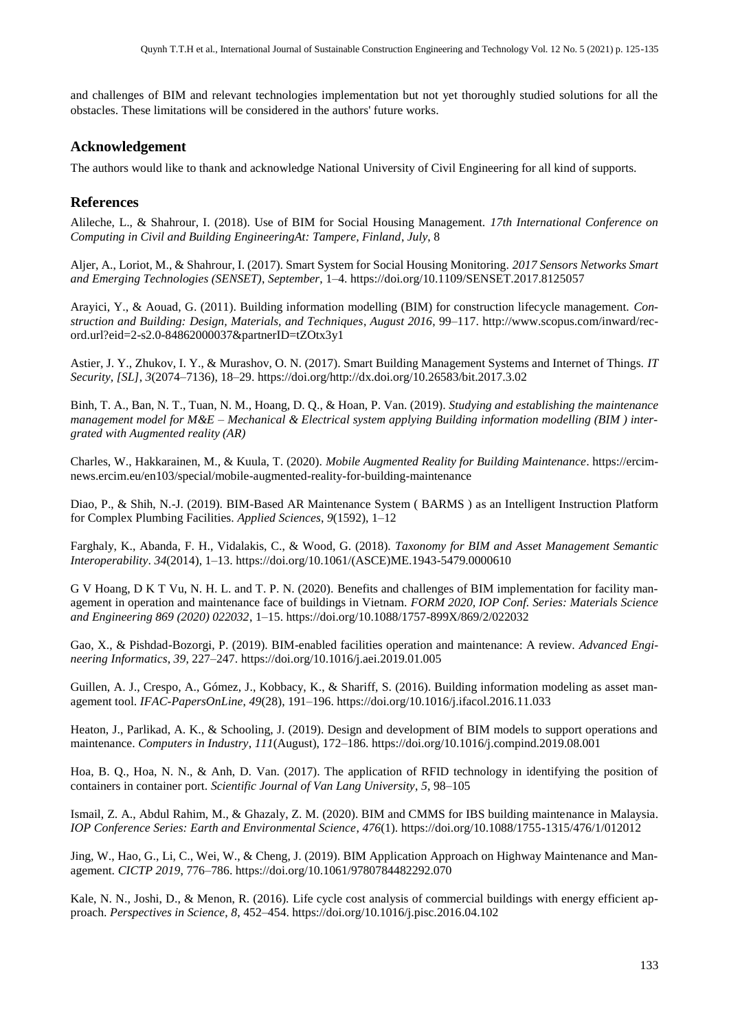and challenges of BIM and relevant technologies implementation but not yet thoroughly studied solutions for all the obstacles. These limitations will be considered in the authors' future works.

### **Acknowledgement**

The authors would like to thank and acknowledge National University of Civil Engineering for all kind of supports.

## **References**

Alileche, L., & Shahrour, I. (2018). Use of BIM for Social Housing Management. *17th International Conference on Computing in Civil and Building EngineeringAt: Tampere, Finland*, *July*, 8

Aljer, A., Loriot, M., & Shahrour, I. (2017). Smart System for Social Housing Monitoring. *2017 Sensors Networks Smart and Emerging Technologies (SENSET)*, *September*, 1–4. https://doi.org/10.1109/SENSET.2017.8125057

Arayici, Y., & Aouad, G. (2011). Building information modelling (BIM) for construction lifecycle management. *Construction and Building: Design, Materials, and Techniques*, *August 2016*, 99–117. http://www.scopus.com/inward/record.url?eid=2-s2.0-84862000037&partnerID=tZOtx3y1

Astier, J. Y., Zhukov, I. Y., & Murashov, O. N. (2017). Smart Building Management Systems and Internet of Things. *IT Security, [SL]*, *3*(2074–7136), 18–29. https://doi.org/http://dx.doi.org/10.26583/bit.2017.3.02

Binh, T. A., Ban, N. T., Tuan, N. M., Hoang, D. Q., & Hoan, P. Van. (2019). *Studying and establishing the maintenance management model for M&E – Mechanical & Electrical system applying Building information modelling (BIM ) intergrated with Augmented reality (AR)*

Charles, W., Hakkarainen, M., & Kuula, T. (2020). *Mobile Augmented Reality for Building Maintenance*. https://ercimnews.ercim.eu/en103/special/mobile-augmented-reality-for-building-maintenance

Diao, P., & Shih, N.-J. (2019). BIM-Based AR Maintenance System ( BARMS ) as an Intelligent Instruction Platform for Complex Plumbing Facilities. *Applied Sciences*, *9*(1592), 1–12

Farghaly, K., Abanda, F. H., Vidalakis, C., & Wood, G. (2018). *Taxonomy for BIM and Asset Management Semantic Interoperability*. *34*(2014), 1–13. https://doi.org/10.1061/(ASCE)ME.1943-5479.0000610

G V Hoang, D K T Vu, N. H. L. and T. P. N. (2020). Benefits and challenges of BIM implementation for facility management in operation and maintenance face of buildings in Vietnam. *FORM 2020, IOP Conf. Series: Materials Science and Engineering 869 (2020) 022032*, 1–15. https://doi.org/10.1088/1757-899X/869/2/022032

Gao, X., & Pishdad-Bozorgi, P. (2019). BIM-enabled facilities operation and maintenance: A review. *Advanced Engineering Informatics*, *39*, 227–247. https://doi.org/10.1016/j.aei.2019.01.005

Guillen, A. J., Crespo, A., Gómez, J., Kobbacy, K., & Shariff, S. (2016). Building information modeling as asset management tool. *IFAC-PapersOnLine*, *49*(28), 191–196. https://doi.org/10.1016/j.ifacol.2016.11.033

Heaton, J., Parlikad, A. K., & Schooling, J. (2019). Design and development of BIM models to support operations and maintenance. *Computers in Industry*, *111*(August), 172–186. https://doi.org/10.1016/j.compind.2019.08.001

Hoa, B. Q., Hoa, N. N., & Anh, D. Van. (2017). The application of RFID technology in identifying the position of containers in container port. *Scientific Journal of Van Lang University*, *5*, 98–105

Ismail, Z. A., Abdul Rahim, M., & Ghazaly, Z. M. (2020). BIM and CMMS for IBS building maintenance in Malaysia. *IOP Conference Series: Earth and Environmental Science*, *476*(1). https://doi.org/10.1088/1755-1315/476/1/012012

Jing, W., Hao, G., Li, C., Wei, W., & Cheng, J. (2019). BIM Application Approach on Highway Maintenance and Management. *CICTP 2019*, 776–786. https://doi.org/10.1061/9780784482292.070

Kale, N. N., Joshi, D., & Menon, R. (2016). Life cycle cost analysis of commercial buildings with energy efficient approach. *Perspectives in Science*, *8*, 452–454. https://doi.org/10.1016/j.pisc.2016.04.102